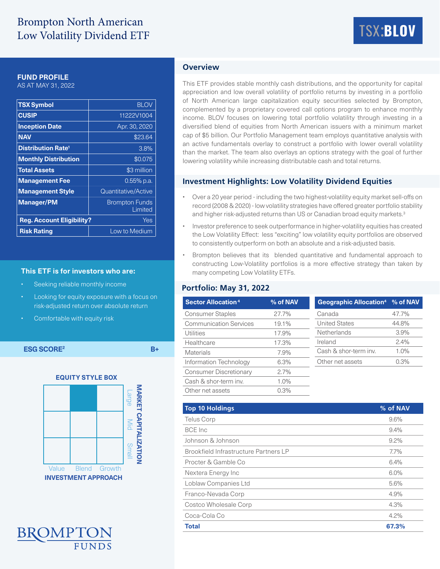# Brompton North American Low Volatility Dividend ETF

# TSX:**BLOV**

#### **FUND PROFILE**

AS AT MAY 31, 2022

| <b>TSX Symbol</b>                    | <b>BLOV</b>                      |  |  |
|--------------------------------------|----------------------------------|--|--|
| <b>CUSIP</b>                         | 11222V1004                       |  |  |
| <b>Inception Date</b>                | Apr. 30, 2020                    |  |  |
| <b>NAV</b>                           | \$23.64                          |  |  |
| <b>Distribution Rate<sup>1</sup></b> | 3.8%                             |  |  |
| <b>Monthly Distribution</b>          | \$0.075                          |  |  |
| <b>Total Assets</b>                  | \$3 million                      |  |  |
| <b>Management Fee</b>                | $0.55\%$ p.a.                    |  |  |
| <b>Management Style</b>              | Quantitative/Active              |  |  |
| <b>Manager/PM</b>                    | <b>Brompton Funds</b><br>Limited |  |  |
| <b>Reg. Account Eligibility?</b>     | Yes                              |  |  |
| <b>Risk Rating</b>                   | Low to Medium                    |  |  |

#### **This ETF is for investors who are:**

- Seeking reliable monthly income
- Looking for equity exposure with a focus on risk-adjusted return over absolute return
- Comfortable with equity risk

**ESG SCORE2 B+**





## **Overview**

This ETF provides stable monthly cash distributions, and the opportunity for capital appreciation and low overall volatility of portfolio returns by investing in a portfolio of North American large capitalization equity securities selected by Brompton, complemented by a proprietary covered call options program to enhance monthly income. BLOV focuses on lowering total portfolio volatility through investing in a diversified blend of equities from North American issuers with a minimum market cap of \$5 billion. Our Portfolio Management team employs quantitative analysis with an active fundamentals overlay to construct a portfolio with lower overall volatility than the market. The team also overlays an options strategy with the goal of further lowering volatility while increasing distributable cash and total returns.

#### **Investment Highlights: Low Volatility Dividend Equities**

- Over a 20 year period including the two highest-volatility equity market sell-offs on record (2008 & 2020) - low volatility strategies have offered greater portfolio stability and higher risk-adjusted returns than US or Canadian broad equity markets.<sup>3</sup>
- Investor preference to seek outperformance in higher-volatility equities has created the Low Volatility Effect: less "exciting" low volatility equity portfolios are observed to consistently outperform on both an absolute and a risk-adjusted basis.
- Brompton believes that its blended quantitative and fundamental approach to constructing Low-Volatility portfolios is a more effective strategy than taken by many competing Low Volatility ETFs.

#### **Portfolio: May 31, 2022**

| <b>Sector Allocation 4</b>    | % of NAV | Geographic Allocation <sup>4</sup> % of NAV |       |  |
|-------------------------------|----------|---------------------------------------------|-------|--|
| <b>Consumer Staples</b>       | 27.7%    | Canada                                      | 47.7% |  |
| <b>Communication Services</b> | 19.1%    | <b>United States</b>                        | 44.8% |  |
| Utilities                     | 17.9%    | Netherlands                                 | 3.9%  |  |
| Healthcare                    | 17.3%    | Ireland                                     | 2.4%  |  |
| <b>Materials</b>              | 7.9%     | Cash & shor-term inv.                       | 1.0%  |  |
| Information Technology        | 6.3%     | Other net assets                            | 0.3%  |  |
| <b>Consumer Discretionary</b> | 2.7%     |                                             |       |  |
| Cash & shor-term inv.         | $1.0\%$  |                                             |       |  |
| Other net assets              | 0.3%     |                                             |       |  |

| <b>Top 10 Holdings</b>                | % of NAV |
|---------------------------------------|----------|
| <b>Telus Corp</b>                     | 9.6%     |
| BCE Inc                               | 9.4%     |
| Johnson & Johnson                     | 9.2%     |
| Brookfield Infrastructure Partners LP | $7.7\%$  |
| Procter & Gamble Co.                  | 6.4%     |
| Nextera Energy Inc                    | 6.0%     |
| Loblaw Companies Ltd                  | 5.6%     |
| Franco-Nevada Corp                    | 4.9%     |
| Costco Wholesale Corp                 | 4.3%     |
| Coca-Cola Co                          | 4.2%     |
| <b>Total</b>                          | 67.3%    |